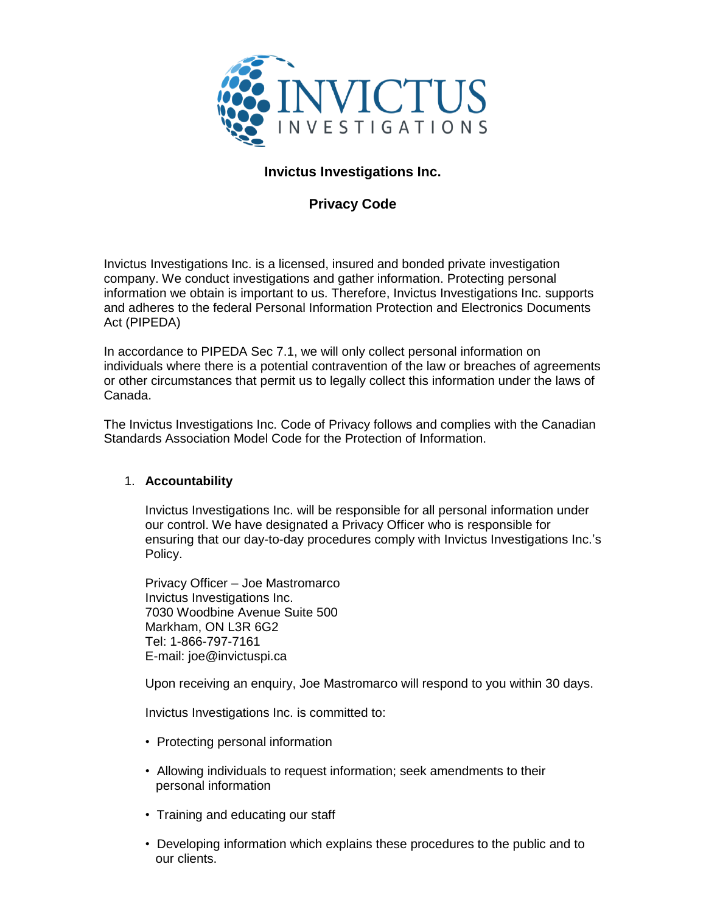

# **Invictus Investigations Inc.**

# **Privacy Code**

Invictus Investigations Inc. is a licensed, insured and bonded private investigation company. We conduct investigations and gather information. Protecting personal information we obtain is important to us. Therefore, Invictus Investigations Inc. supports and adheres to the federal Personal Information Protection and Electronics Documents Act (PIPEDA)

In accordance to PIPEDA Sec 7.1, we will only collect personal information on individuals where there is a potential contravention of the law or breaches of agreements or other circumstances that permit us to legally collect this information under the laws of Canada.

The Invictus Investigations Inc. Code of Privacy follows and complies with the Canadian Standards Association Model Code for the Protection of Information.

# 1. **Accountability**

Invictus Investigations Inc. will be responsible for all personal information under our control. We have designated a Privacy Officer who is responsible for ensuring that our day-to-day procedures comply with Invictus Investigations Inc.'s Policy.

Privacy Officer – Joe Mastromarco Invictus Investigations Inc. 7030 Woodbine Avenue Suite 500 Markham, ON L3R 6G2 Tel: 1-866-797-7161 E-mail: joe@invictuspi.ca

Upon receiving an enquiry, Joe Mastromarco will respond to you within 30 days.

Invictus Investigations Inc. is committed to:

- Protecting personal information
- Allowing individuals to request information; seek amendments to their personal information
- Training and educating our staff
- Developing information which explains these procedures to the public and to our clients.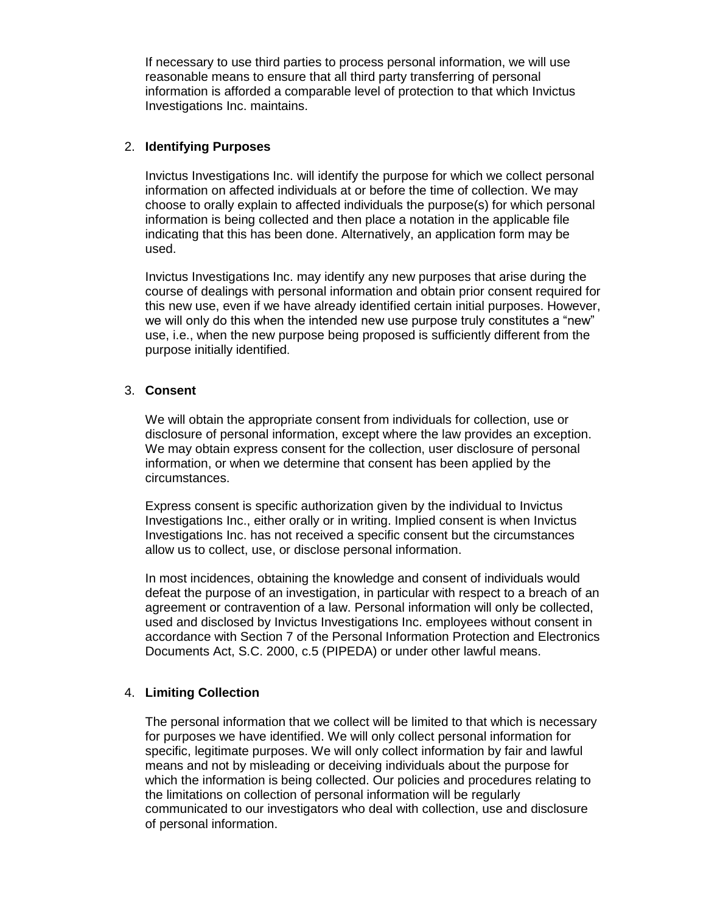If necessary to use third parties to process personal information, we will use reasonable means to ensure that all third party transferring of personal information is afforded a comparable level of protection to that which Invictus Investigations Inc. maintains.

#### 2. **Identifying Purposes**

Invictus Investigations Inc. will identify the purpose for which we collect personal information on affected individuals at or before the time of collection. We may choose to orally explain to affected individuals the purpose(s) for which personal information is being collected and then place a notation in the applicable file indicating that this has been done. Alternatively, an application form may be used.

Invictus Investigations Inc. may identify any new purposes that arise during the course of dealings with personal information and obtain prior consent required for this new use, even if we have already identified certain initial purposes. However, we will only do this when the intended new use purpose truly constitutes a "new" use, i.e., when the new purpose being proposed is sufficiently different from the purpose initially identified.

#### 3. **Consent**

We will obtain the appropriate consent from individuals for collection, use or disclosure of personal information, except where the law provides an exception. We may obtain express consent for the collection, user disclosure of personal information, or when we determine that consent has been applied by the circumstances.

Express consent is specific authorization given by the individual to Invictus Investigations Inc., either orally or in writing. Implied consent is when Invictus Investigations Inc. has not received a specific consent but the circumstances allow us to collect, use, or disclose personal information.

In most incidences, obtaining the knowledge and consent of individuals would defeat the purpose of an investigation, in particular with respect to a breach of an agreement or contravention of a law. Personal information will only be collected, used and disclosed by Invictus Investigations Inc. employees without consent in accordance with Section 7 of the Personal Information Protection and Electronics Documents Act, S.C. 2000, c.5 (PIPEDA) or under other lawful means.

# 4. **Limiting Collection**

The personal information that we collect will be limited to that which is necessary for purposes we have identified. We will only collect personal information for specific, legitimate purposes. We will only collect information by fair and lawful means and not by misleading or deceiving individuals about the purpose for which the information is being collected. Our policies and procedures relating to the limitations on collection of personal information will be regularly communicated to our investigators who deal with collection, use and disclosure of personal information.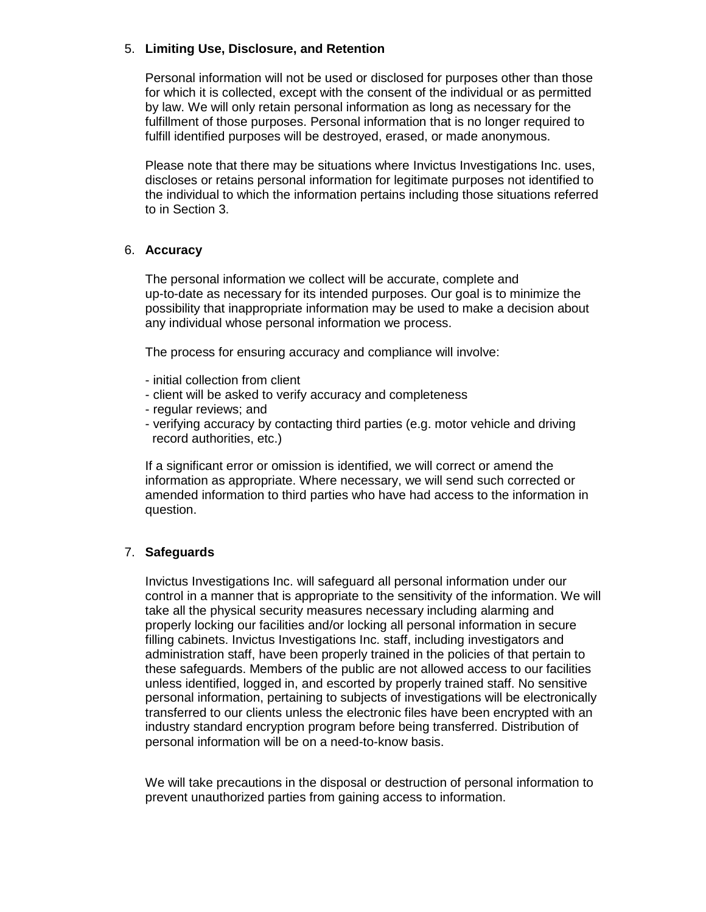## 5. **Limiting Use, Disclosure, and Retention**

Personal information will not be used or disclosed for purposes other than those for which it is collected, except with the consent of the individual or as permitted by law. We will only retain personal information as long as necessary for the fulfillment of those purposes. Personal information that is no longer required to fulfill identified purposes will be destroyed, erased, or made anonymous.

Please note that there may be situations where Invictus Investigations Inc. uses, discloses or retains personal information for legitimate purposes not identified to the individual to which the information pertains including those situations referred to in Section 3.

#### 6. **Accuracy**

The personal information we collect will be accurate, complete and up-to-date as necessary for its intended purposes. Our goal is to minimize the possibility that inappropriate information may be used to make a decision about any individual whose personal information we process.

The process for ensuring accuracy and compliance will involve:

- initial collection from client
- client will be asked to verify accuracy and completeness
- regular reviews; and
- verifying accuracy by contacting third parties (e.g. motor vehicle and driving record authorities, etc.)

If a significant error or omission is identified, we will correct or amend the information as appropriate. Where necessary, we will send such corrected or amended information to third parties who have had access to the information in question.

# 7. **Safeguards**

Invictus Investigations Inc. will safeguard all personal information under our control in a manner that is appropriate to the sensitivity of the information. We will take all the physical security measures necessary including alarming and properly locking our facilities and/or locking all personal information in secure filling cabinets. Invictus Investigations Inc. staff, including investigators and administration staff, have been properly trained in the policies of that pertain to these safeguards. Members of the public are not allowed access to our facilities unless identified, logged in, and escorted by properly trained staff. No sensitive personal information, pertaining to subjects of investigations will be electronically transferred to our clients unless the electronic files have been encrypted with an industry standard encryption program before being transferred. Distribution of personal information will be on a need-to-know basis.

We will take precautions in the disposal or destruction of personal information to prevent unauthorized parties from gaining access to information.